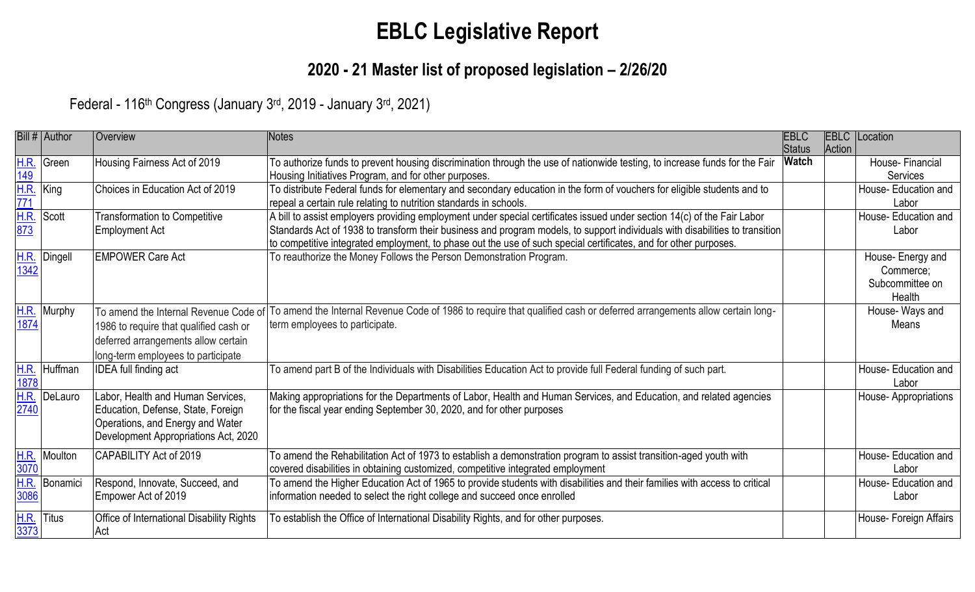# **EBLC Legislative Report**

## **2020 - 21 Master list of proposed legislation – 2/26/20**

Federal - 116<sup>th</sup> Congress (January 3<sup>rd</sup>, 2019 - January 3<sup>rd</sup>, 2021)

|                             | Bill # Author | Overview                                                                                                                                                     | Notes                                                                                                                                                                                                                                                                                                                                                                                    | <b>EBLC</b><br><b>Status</b> | <b>EBLC</b><br>Action | Location                                                    |
|-----------------------------|---------------|--------------------------------------------------------------------------------------------------------------------------------------------------------------|------------------------------------------------------------------------------------------------------------------------------------------------------------------------------------------------------------------------------------------------------------------------------------------------------------------------------------------------------------------------------------------|------------------------------|-----------------------|-------------------------------------------------------------|
| H.R.<br>$\overline{149}$    | Green         | Housing Fairness Act of 2019                                                                                                                                 | To authorize funds to prevent housing discrimination through the use of nationwide testing, to increase funds for the Fair<br>Housing Initiatives Program, and for other purposes.                                                                                                                                                                                                       | <b>Watch</b>                 |                       | House-Financial<br>Services                                 |
| $rac{\overline{H.R.}}{771}$ | King          | Choices in Education Act of 2019                                                                                                                             | To distribute Federal funds for elementary and secondary education in the form of vouchers for eligible students and to<br>repeal a certain rule relating to nutrition standards in schools.                                                                                                                                                                                             |                              |                       | House- Education and<br>Labor                               |
| H.R.<br>$\frac{873}{ }$     | Scott         | <b>Transformation to Competitive</b><br>Employment Act                                                                                                       | A bill to assist employers providing employment under special certificates issued under section $14(\overline{c})$ of the Fair Labor<br>Standards Act of 1938 to transform their business and program models, to support individuals with disabilities to transition<br>to competitive integrated employment, to phase out the use of such special certificates, and for other purposes. |                              |                       | House- Education and<br>Labor                               |
| <b>H.R.</b><br>1342         | Dingell       | <b>EMPOWER Care Act</b>                                                                                                                                      | To reauthorize the Money Follows the Person Demonstration Program.                                                                                                                                                                                                                                                                                                                       |                              |                       | House- Energy and<br>Commerce;<br>Subcommittee on<br>Health |
| <u>H.R.</u><br>1874         | Murphy        | To amend the Internal Revenue Code of<br>1986 to require that qualified cash or<br>deferred arrangements allow certain<br>long-term employees to participate | To amend the Internal Revenue Code of 1986 to require that qualified cash or deferred arrangements allow certain long-<br>term employees to participate.                                                                                                                                                                                                                                 |                              |                       | House-Ways and<br>Means                                     |
| $\frac{1878}{1878}$         | H.R. Huffman  | <b>IDEA</b> full finding act                                                                                                                                 | To amend part B of the Individuals with Disabilities Education Act to provide full Federal funding of such part.                                                                                                                                                                                                                                                                         |                              |                       | House- Education and<br>Labor                               |
| $H.R.\n2740$                | DeLauro       | Labor, Health and Human Services,<br>Education, Defense, State, Foreign<br>Operations, and Energy and Water<br>Development Appropriations Act, 2020          | Making appropriations for the Departments of Labor, Health and Human Services, and Education, and related agencies<br>for the fiscal year ending September 30, 2020, and for other purposes                                                                                                                                                                                              |                              |                       | House-Appropriations                                        |
| 3070                        | H.R. Moulton  | CAPABILITY Act of 2019                                                                                                                                       | To amend the Rehabilitation Act of 1973 to establish a demonstration program to assist transition-aged youth with<br>covered disabilities in obtaining customized, competitive integrated employment                                                                                                                                                                                     |                              |                       | House- Education and<br>Labor                               |
| 3086                        | H.R. Bonamici | Respond, Innovate, Succeed, and<br>Empower Act of 2019                                                                                                       | To amend the Higher Education Act of 1965 to provide students with disabilities and their families with access to critical<br>information needed to select the right college and succeed once enrolled                                                                                                                                                                                   |                              |                       | House- Education and<br>Labor                               |
| H.R.<br>$\frac{1}{3373}$    | <b>Titus</b>  | Office of International Disability Rights<br>Act                                                                                                             | To establish the Office of International Disability Rights, and for other purposes.                                                                                                                                                                                                                                                                                                      |                              |                       | House- Foreign Affairs                                      |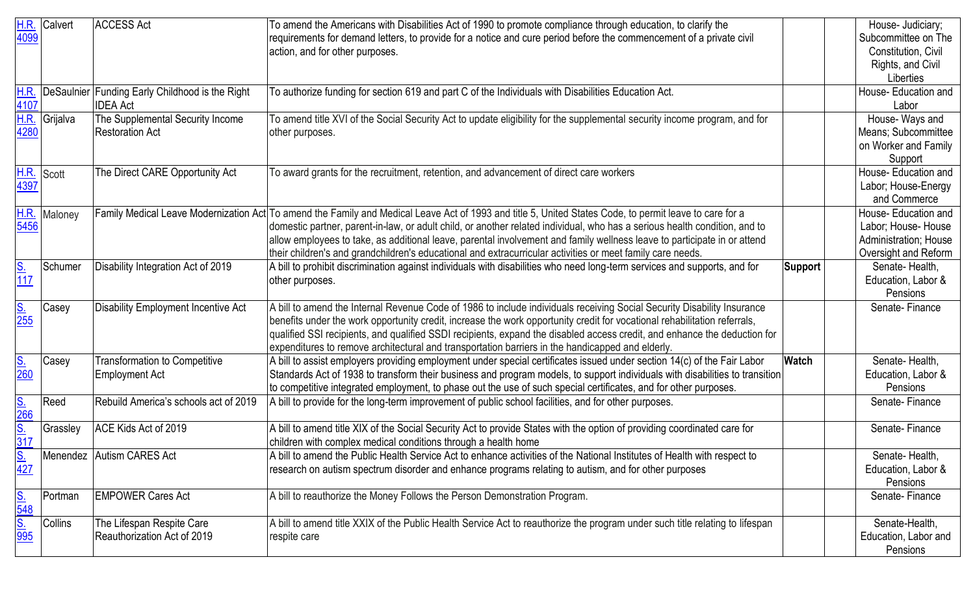|                               | H.R. Calvert  | <b>ACCESS Act</b>                               | To amend the Americans with Disabilities Act of 1990 to promote compliance through education, to clarify the                                            |                | House- Judiciary;     |
|-------------------------------|---------------|-------------------------------------------------|---------------------------------------------------------------------------------------------------------------------------------------------------------|----------------|-----------------------|
| 4099                          |               |                                                 | requirements for demand letters, to provide for a notice and cure period before the commencement of a private civil                                     |                | Subcommittee on The   |
|                               |               |                                                 | action, and for other purposes.                                                                                                                         |                | Constitution, Civil   |
|                               |               |                                                 |                                                                                                                                                         |                | Rights, and Civil     |
|                               |               |                                                 |                                                                                                                                                         |                | Liberties             |
| $rac{H.R.}{4107}$             |               | DeSaulnier Funding Early Childhood is the Right | To authorize funding for section 619 and part C of the Individuals with Disabilities Education Act.                                                     |                | House- Education and  |
|                               |               | <b>IDEA</b> Act                                 |                                                                                                                                                         |                | Labor                 |
|                               | H.R. Grijalva | The Supplemental Security Income                | To amend title XVI of the Social Security Act to update eligibility for the supplemental security income program, and for                               |                | House-Ways and        |
| 4280                          |               | Restoration Act                                 | other purposes.                                                                                                                                         |                | Means; Subcommittee   |
|                               |               |                                                 |                                                                                                                                                         |                | on Worker and Family  |
|                               |               |                                                 |                                                                                                                                                         |                | Support               |
| $rac{\text{H.R.}}{4397}$      | Scott         | The Direct CARE Opportunity Act                 | To award grants for the recruitment, retention, and advancement of direct care workers                                                                  |                | House- Education and  |
|                               |               |                                                 |                                                                                                                                                         |                | Labor; House-Energy   |
|                               |               |                                                 |                                                                                                                                                         |                | and Commerce          |
| <b>H.R.</b>                   | Maloney       |                                                 | Family Medical Leave Modernization Act To amend the Family and Medical Leave Act of 1993 and title 5, United States Code, to permit leave to care for a |                | House- Education and  |
| $\frac{1}{5456}$              |               |                                                 | domestic partner, parent-in-law, or adult child, or another related individual, who has a serious health condition, and to                              |                | Labor; House- House   |
|                               |               |                                                 | allow employees to take, as additional leave, parental involvement and family wellness leave to participate in or attend                                |                | Administration; House |
|                               |               |                                                 | their children's and grandchildren's educational and extracurricular activities or meet family care needs.                                              |                | Oversight and Reform  |
| $\frac{S}{117}$               | Schumer       | Disability Integration Act of 2019              | A bill to prohibit discrimination against individuals with disabilities who need long-term services and supports, and for                               | <b>Support</b> | Senate-Health,        |
|                               |               |                                                 | other purposes.                                                                                                                                         |                | Education, Labor &    |
|                               |               |                                                 |                                                                                                                                                         |                | Pensions              |
| $\frac{S}{255}$               | Casey         | Disability Employment Incentive Act             | A bill to amend the Internal Revenue Code of 1986 to include individuals receiving Social Security Disability Insurance                                 |                | Senate-Finance        |
|                               |               |                                                 | benefits under the work opportunity credit, increase the work opportunity credit for vocational rehabilitation referrals,                               |                |                       |
|                               |               |                                                 | qualified SSI recipients, and qualified SSDI recipients, expand the disabled access credit, and enhance the deduction for                               |                |                       |
|                               |               |                                                 | expenditures to remove architectural and transportation barriers in the handicapped and elderly.                                                        |                |                       |
| $\frac{\text{S}}{\text{260}}$ | Casey         | <b>Transformation to Competitive</b>            | A bill to assist employers providing employment under special certificates issued under section 14(c) of the Fair Labor                                 | Watch          | Senate-Health,        |
|                               |               | Employment Act                                  | Standards Act of 1938 to transform their business and program models, to support individuals with disabilities to transition                            |                | Education, Labor &    |
|                               |               |                                                 | to competitive integrated employment, to phase out the use of such special certificates, and for other purposes.                                        |                | Pensions              |
| S.<br>266<br>317<br>317       | Reed          | Rebuild America's schools act of 2019           | A bill to provide for the long-term improvement of public school facilities, and for other purposes.                                                    |                | Senate-Finance        |
|                               | Grassley      | ACE Kids Act of 2019                            | A bill to amend title XIX of the Social Security Act to provide States with the option of providing coordinated care for                                |                | Senate-Finance        |
|                               |               |                                                 | children with complex medical conditions through a health home                                                                                          |                |                       |
|                               |               | Menendez Autism CARES Act                       | A bill to amend the Public Health Service Act to enhance activities of the National Institutes of Health with respect to                                |                | Senate-Health,        |
| $rac{S}{427}$                 |               |                                                 | research on autism spectrum disorder and enhance programs relating to autism, and for other purposes                                                    |                | Education, Labor &    |
|                               |               |                                                 |                                                                                                                                                         |                | Pensions              |
|                               | Portman       | <b>EMPOWER Cares Act</b>                        | A bill to reauthorize the Money Follows the Person Demonstration Program.                                                                               |                | Senate-Finance        |
|                               |               |                                                 |                                                                                                                                                         |                |                       |
|                               | Collins       | The Lifespan Respite Care                       | A bill to amend title XXIX of the Public Health Service Act to reauthorize the program under such title relating to lifespan                            |                | Senate-Health,        |
|                               |               | Reauthorization Act of 2019                     | respite care                                                                                                                                            |                | Education, Labor and  |
|                               |               |                                                 |                                                                                                                                                         |                | Pensions              |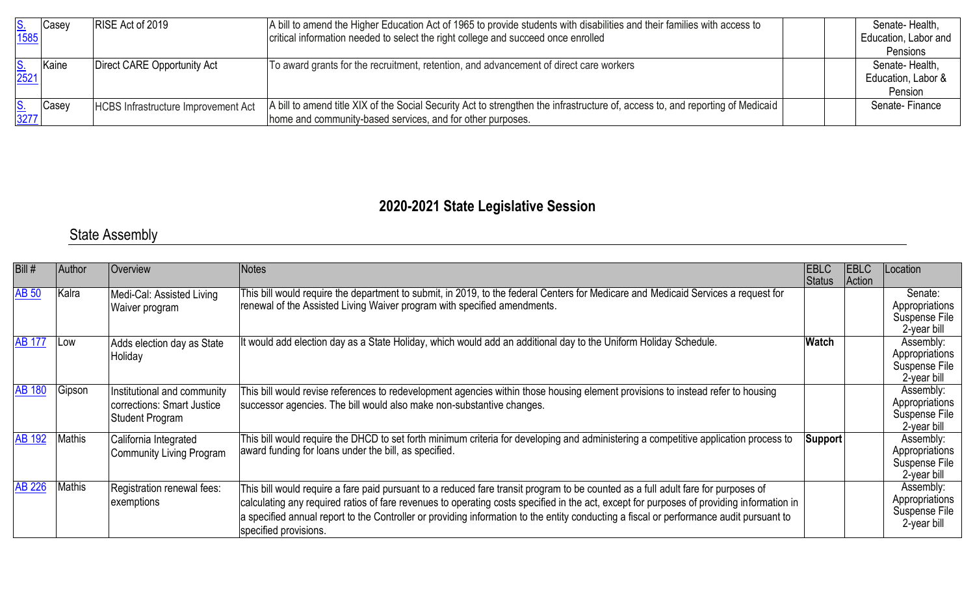| $\frac{\text{S}}{1585}$   | Casey | RISE Act of 2019                           | A bill to amend the Higher Education Act of 1965 to provide students with disabilities and their families with access to       | Senate-Health,                   |
|---------------------------|-------|--------------------------------------------|--------------------------------------------------------------------------------------------------------------------------------|----------------------------------|
|                           |       |                                            | critical information needed to select the right college and succeed once enrolled                                              | Education, Labor and<br>Pensions |
|                           |       |                                            |                                                                                                                                |                                  |
| $\frac{\mathsf{S}}{2521}$ | Kaine | Direct CARE Opportunity Act                | To award grants for the recruitment, retention, and advancement of direct care workers                                         | Senate-Health,                   |
|                           |       |                                            |                                                                                                                                | Education, Labor &               |
|                           |       |                                            |                                                                                                                                | Pension                          |
|                           | Casey | <b>HCBS Infrastructure Improvement Act</b> | A bill to amend title XIX of the Social Security Act to strengthen the infrastructure of, access to, and reporting of Medicaid | Senate-Finance                   |
| $\frac{S}{3277}$          |       |                                            | home and community-based services, and for other purposes.                                                                     |                                  |

## **2020-2021 State Legislative Session**

### State Assembly

| Bill#         | Author | <b>Overview</b>                                                              | <b>Notes</b>                                                                                                                                                                                                                                                                                                                                                                                                                                       | EBLC    | <b>EBLC</b> | Location                                                    |
|---------------|--------|------------------------------------------------------------------------------|----------------------------------------------------------------------------------------------------------------------------------------------------------------------------------------------------------------------------------------------------------------------------------------------------------------------------------------------------------------------------------------------------------------------------------------------------|---------|-------------|-------------------------------------------------------------|
|               |        |                                                                              |                                                                                                                                                                                                                                                                                                                                                                                                                                                    | Status  | Action      |                                                             |
| <b>AB 50</b>  | Kalra  | Medi-Cal: Assisted Living<br>Waiver program                                  | This bill would require the department to submit, in 2019, to the federal Centers for Medicare and Medicaid Services a request for<br>renewal of the Assisted Living Waiver program with specified amendments.                                                                                                                                                                                                                                     |         |             | Senate:<br>Appropriations<br>Suspense File<br>2-year bill   |
| AB 177        | Low    | Adds election day as State<br>Holiday                                        | It would add election day as a State Holiday, which would add an additional day to the Uniform Holiday Schedule.                                                                                                                                                                                                                                                                                                                                   | Watch   |             | Assembly:<br>Appropriations<br>Suspense File<br>2-year bill |
| <b>AB 180</b> | Gipson | Institutional and community<br>corrections: Smart Justice<br>Student Program | This bill would revise references to redevelopment agencies within those housing element provisions to instead refer to housing<br>successor agencies. The bill would also make non-substantive changes.                                                                                                                                                                                                                                           |         |             | Assembly:<br>Appropriations<br>Suspense File<br>2-year bill |
| <b>AB 192</b> | Mathis | California Integrated<br>Community Living Program                            | This bill would require the DHCD to set forth minimum criteria for developing and administering a competitive application process to<br>award funding for loans under the bill, as specified.                                                                                                                                                                                                                                                      | Support |             | Assembly:<br>Appropriations<br>Suspense File<br>2-year bill |
| <b>AB 226</b> | Mathis | Registration renewal fees:<br>exemptions                                     | This bill would require a fare paid pursuant to a reduced fare transit program to be counted as a full adult fare for purposes of<br>calculating any required ratios of fare revenues to operating costs specified in the act, except for purposes of providing information in<br>a specified annual report to the Controller or providing information to the entity conducting a fiscal or performance audit pursuant to<br>specified provisions. |         |             | Assembly:<br>Appropriations<br>Suspense File<br>2-year bill |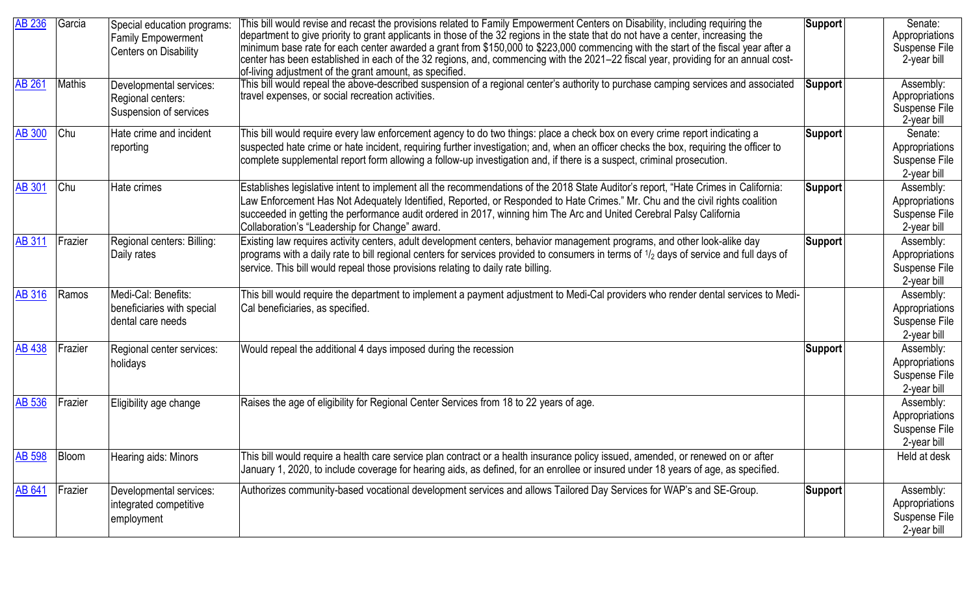| <b>AB 236</b> | Garcia        | Special education programs:<br><b>Family Empowerment</b><br>Centers on Disability | This bill would revise and recast the provisions related to Family Empowerment Centers on Disability, including requiring the<br>department to give priority to grant applicants in those of the 32 regions in the state that do not have a center, increasing the<br>minimum base rate for each center awarded a grant from \$150,000 to \$223,000 commencing with the start of the fiscal year after a<br>center has been established in each of the 32 regions, and, commencing with the 2021-22 fiscal year, providing for an annual cost-<br>of-living adjustment of the grant amount, as specified. | Support        | Senate:<br>Appropriations<br>Suspense File<br>2-year bill   |
|---------------|---------------|-----------------------------------------------------------------------------------|-----------------------------------------------------------------------------------------------------------------------------------------------------------------------------------------------------------------------------------------------------------------------------------------------------------------------------------------------------------------------------------------------------------------------------------------------------------------------------------------------------------------------------------------------------------------------------------------------------------|----------------|-------------------------------------------------------------|
| <b>AB 261</b> | <b>Mathis</b> | Developmental services:<br>Regional centers:<br>Suspension of services            | This bill would repeal the above-described suspension of a regional center's authority to purchase camping services and associated<br>travel expenses, or social recreation activities.                                                                                                                                                                                                                                                                                                                                                                                                                   | <b>Support</b> | Assembly:<br>Appropriations<br>Suspense File<br>2-year bill |
| <b>AB 300</b> | Chu           | Hate crime and incident<br>reporting                                              | This bill would require every law enforcement agency to do two things: place a check box on every crime report indicating a<br>suspected hate crime or hate incident, requiring further investigation; and, when an officer checks the box, requiring the officer to<br>complete supplemental report form allowing a follow-up investigation and, if there is a suspect, criminal prosecution.                                                                                                                                                                                                            | Support        | Senate:<br>Appropriations<br>Suspense File<br>2-year bill   |
| <b>AB 301</b> | <b>Chu</b>    | Hate crimes                                                                       | Establishes legislative intent to implement all the recommendations of the 2018 State Auditor's report, "Hate Crimes in California:<br>Law Enforcement Has Not Adequately Identified, Reported, or Responded to Hate Crimes." Mr. Chu and the civil rights coalition<br>succeeded in getting the performance audit ordered in 2017, winning him The Arc and United Cerebral Palsy California<br>Collaboration's "Leadership for Change" award.                                                                                                                                                            | Support        | Assembly:<br>Appropriations<br>Suspense File<br>2-year bill |
| <b>AB 311</b> | Frazier       | Regional centers: Billing:<br>Daily rates                                         | Existing law requires activity centers, adult development centers, behavior management programs, and other look-alike day<br>programs with a daily rate to bill regional centers for services provided to consumers in terms of 1/2 days of service and full days of<br>service. This bill would repeal those provisions relating to daily rate billing.                                                                                                                                                                                                                                                  | <b>Support</b> | Assembly:<br>Appropriations<br>Suspense File<br>2-year bill |
| <b>AB 316</b> | Ramos         | Medi-Cal: Benefits:<br>beneficiaries with special<br>dental care needs            | This bill would require the department to implement a payment adjustment to Medi-Cal providers who render dental services to Medi-<br>Cal beneficiaries, as specified.                                                                                                                                                                                                                                                                                                                                                                                                                                    |                | Assembly:<br>Appropriations<br>Suspense File<br>2-year bill |
| <b>AB 438</b> | Frazier       | Regional center services:<br>holidays                                             | Would repeal the additional 4 days imposed during the recession                                                                                                                                                                                                                                                                                                                                                                                                                                                                                                                                           | Support        | Assembly:<br>Appropriations<br>Suspense File<br>2-year bill |
| <b>AB 536</b> | Frazier       | Eligibility age change                                                            | Raises the age of eligibility for Regional Center Services from 18 to 22 years of age.                                                                                                                                                                                                                                                                                                                                                                                                                                                                                                                    |                | Assembly:<br>Appropriations<br>Suspense File<br>2-year bill |
| <b>AB 598</b> | Bloom         | Hearing aids: Minors                                                              | This bill would require a health care service plan contract or a health insurance policy issued, amended, or renewed on or after<br>January 1, 2020, to include coverage for hearing aids, as defined, for an enrollee or insured under 18 years of age, as specified.                                                                                                                                                                                                                                                                                                                                    |                | Held at desk                                                |
| <b>AB 641</b> | Frazier       | Developmental services:<br>integrated competitive<br>employment                   | Authorizes community-based vocational development services and allows Tailored Day Services for WAP's and SE-Group.                                                                                                                                                                                                                                                                                                                                                                                                                                                                                       | <b>Support</b> | Assembly:<br>Appropriations<br>Suspense File<br>2-year bill |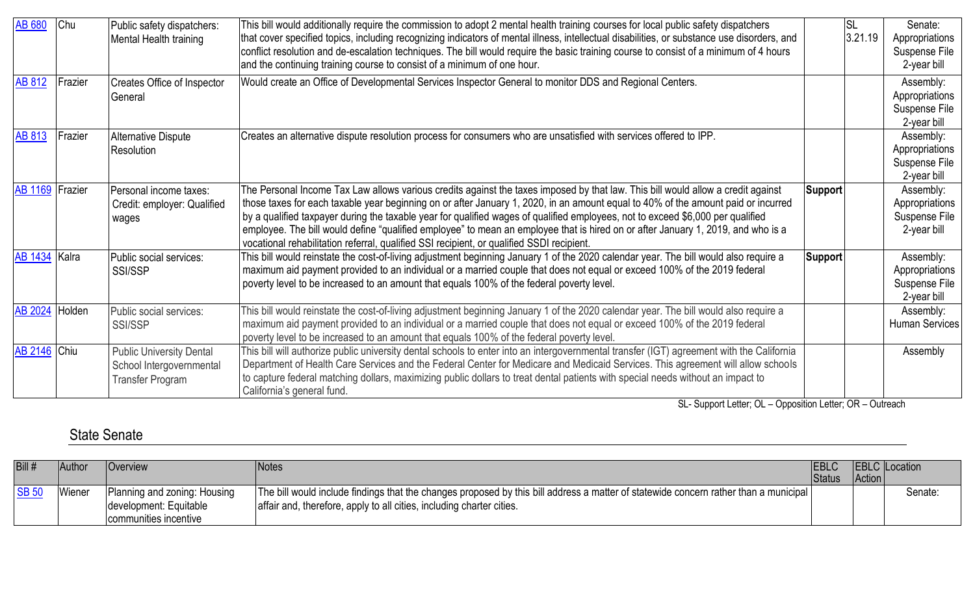| <b>AB 680</b>       | Chu     | Public safety dispatchers:<br>Mental Health training                                   | This bill would additionally require the commission to adopt 2 mental health training courses for local public safety dispatchers<br>that cover specified topics, including recognizing indicators of mental illness, intellectual disabilities, or substance use disorders, and<br>conflict resolution and de-escalation techniques. The bill would require the basic training course to consist of a minimum of 4 hours<br>and the continuing training course to consist of a minimum of one hour.                                                                                                                                      |         | <b>SL</b><br>3.21.19 | Senate:<br>Appropriations<br>Suspense File<br>2-year bill   |
|---------------------|---------|----------------------------------------------------------------------------------------|-------------------------------------------------------------------------------------------------------------------------------------------------------------------------------------------------------------------------------------------------------------------------------------------------------------------------------------------------------------------------------------------------------------------------------------------------------------------------------------------------------------------------------------------------------------------------------------------------------------------------------------------|---------|----------------------|-------------------------------------------------------------|
| <b>AB 812</b>       | Frazier | Creates Office of Inspector<br>General                                                 | Would create an Office of Developmental Services Inspector General to monitor DDS and Regional Centers.                                                                                                                                                                                                                                                                                                                                                                                                                                                                                                                                   |         |                      | Assembly:<br>Appropriations<br>Suspense File<br>2-year bill |
| <b>AB 813</b>       | Frazier | <b>Alternative Dispute</b><br>Resolution                                               | Creates an alternative dispute resolution process for consumers who are unsatisfied with services offered to IPP.                                                                                                                                                                                                                                                                                                                                                                                                                                                                                                                         |         |                      | Assembly:<br>Appropriations<br>Suspense File<br>2-year bill |
| AB 1169 Frazier     |         | Personal income taxes:<br>Credit: employer: Qualified<br>wages                         | The Personal Income Tax Law allows various credits against the taxes imposed by that law. This bill would allow a credit against<br>those taxes for each taxable year beginning on or after January 1, 2020, in an amount equal to 40% of the amount paid or incurred<br>by a qualified taxpayer during the taxable year for qualified wages of qualified employees, not to exceed \$6,000 per qualified<br>employee. The bill would define "qualified employee" to mean an employee that is hired on or after January 1, 2019, and who is a<br>vocational rehabilitation referral, qualified SSI recipient, or qualified SSDI recipient. | Support |                      | Assembly:<br>Appropriations<br>Suspense File<br>2-year bill |
| AB 1434 Kalra       |         | Public social services:<br>SSI/SSP                                                     | This bill would reinstate the cost-of-living adjustment beginning January 1 of the 2020 calendar year. The bill would also require a<br>maximum aid payment provided to an individual or a married couple that does not equal or exceed 100% of the 2019 federal<br>poverty level to be increased to an amount that equals 100% of the federal poverty level.                                                                                                                                                                                                                                                                             | Support |                      | Assembly:<br>Appropriations<br>Suspense File<br>2-year bill |
| AB 2024 Holden      |         | Public social services:<br><b>SSI/SSP</b>                                              | This bill would reinstate the cost-of-living adjustment beginning January 1 of the 2020 calendar year. The bill would also require a<br>maximum aid payment provided to an individual or a married couple that does not equal or exceed 100% of the 2019 federal<br>poverty level to be increased to an amount that equals 100% of the federal poverty level.                                                                                                                                                                                                                                                                             |         |                      | Assembly:<br><b>Human Services</b>                          |
| <b>AB 2146</b> Chiu |         | <b>Public University Dental</b><br>School Intergovernmental<br><b>Transfer Program</b> | This bill will authorize public university dental schools to enter into an intergovernmental transfer (IGT) agreement with the California<br>Department of Health Care Services and the Federal Center for Medicare and Medicaid Services. This agreement will allow schools<br>to capture federal matching dollars, maximizing public dollars to treat dental patients with special needs without an impact to<br>California's general fund.                                                                                                                                                                                             |         |                      | Assembly                                                    |

SL- Support Letter; OL – Opposition Letter; OR – Outreach

#### State Senate

| Bill#        | Author | <b>Overview</b>                                                                 | Notes                                                                                                                                                                                                         | <b>EBLC</b><br><b>Status</b> | Action | <b>EBLC</b> Location |
|--------------|--------|---------------------------------------------------------------------------------|---------------------------------------------------------------------------------------------------------------------------------------------------------------------------------------------------------------|------------------------------|--------|----------------------|
| <b>SB 50</b> | Wiener | Planning and zoning: Housing<br>development: Equitable<br>communities incentive | The bill would include findings that the changes proposed by this bill address a matter of statewide concern rather than a municipal<br>affair and, therefore, apply to all cities, including charter cities. |                              |        | Senate:              |